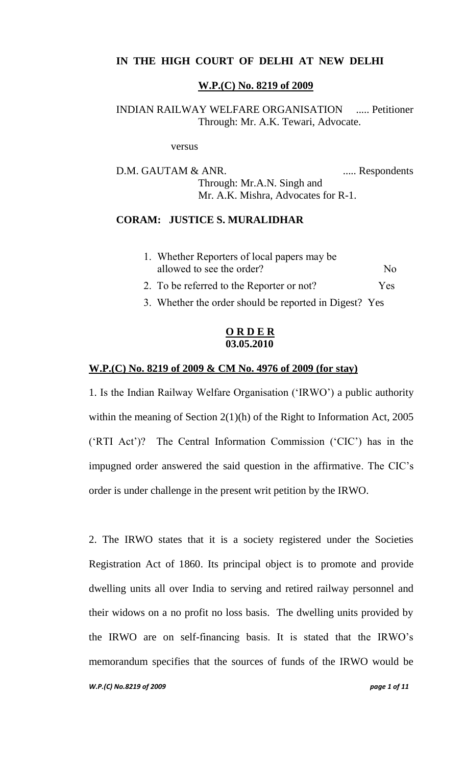# **IN THE HIGH COURT OF DELHI AT NEW DELHI**

#### **W.P.(C) No. 8219 of 2009**

# INDIAN RAILWAY WELFARE ORGANISATION ..... Petitioner Through: Mr. A.K. Tewari, Advocate.

versus

D.M. GAUTAM & ANR. ..... Respondents Through: Mr.A.N. Singh and Mr. A.K. Mishra, Advocates for R-1.

### **CORAM: JUSTICE S. MURALIDHAR**

| 1. Whether Reporters of local papers may be |                |
|---------------------------------------------|----------------|
| allowed to see the order?                   | N <sub>0</sub> |
| 2. To be referred to the Reporter or not?   | Yes            |

3. Whether the order should be reported in Digest? Yes

### **O R D E R 03.05.2010**

#### **W.P.(C) No. 8219 of 2009 & CM No. 4976 of 2009 (for stay)**

1. Is the Indian Railway Welfare Organisation ("IRWO") a public authority within the meaning of Section 2(1)(h) of the Right to Information Act, 2005 ("RTI Act")? The Central Information Commission ("CIC") has in the impugned order answered the said question in the affirmative. The CIC"s order is under challenge in the present writ petition by the IRWO.

2. The IRWO states that it is a society registered under the Societies Registration Act of 1860. Its principal object is to promote and provide dwelling units all over India to serving and retired railway personnel and their widows on a no profit no loss basis. The dwelling units provided by the IRWO are on self-financing basis. It is stated that the IRWO"s memorandum specifies that the sources of funds of the IRWO would be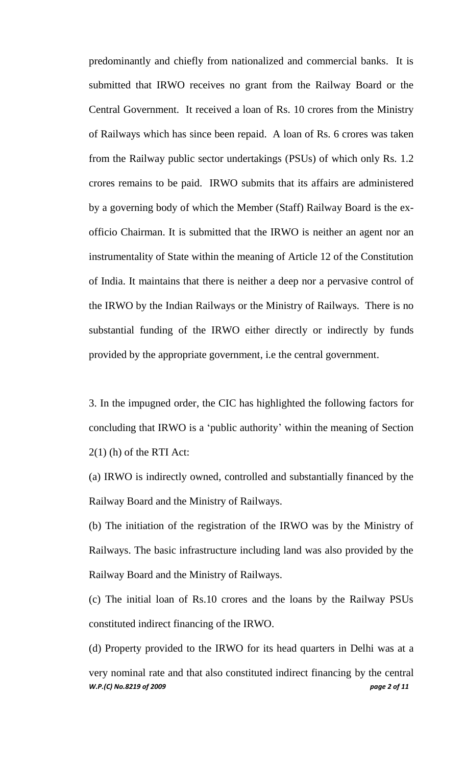predominantly and chiefly from nationalized and commercial banks. It is submitted that IRWO receives no grant from the Railway Board or the Central Government. It received a loan of Rs. 10 crores from the Ministry of Railways which has since been repaid. A loan of Rs. 6 crores was taken from the Railway public sector undertakings (PSUs) of which only Rs. 1.2 crores remains to be paid. IRWO submits that its affairs are administered by a governing body of which the Member (Staff) Railway Board is the exofficio Chairman. It is submitted that the IRWO is neither an agent nor an instrumentality of State within the meaning of Article 12 of the Constitution of India. It maintains that there is neither a deep nor a pervasive control of the IRWO by the Indian Railways or the Ministry of Railways. There is no substantial funding of the IRWO either directly or indirectly by funds provided by the appropriate government, i.e the central government.

3. In the impugned order, the CIC has highlighted the following factors for concluding that IRWO is a "public authority" within the meaning of Section  $2(1)$  (h) of the RTI Act:

(a) IRWO is indirectly owned, controlled and substantially financed by the Railway Board and the Ministry of Railways.

(b) The initiation of the registration of the IRWO was by the Ministry of Railways. The basic infrastructure including land was also provided by the Railway Board and the Ministry of Railways.

(c) The initial loan of Rs.10 crores and the loans by the Railway PSUs constituted indirect financing of the IRWO.

(d) Property provided to the IRWO for its head quarters in Delhi was at a

*W.P.(C) No.8219 of 2009 page 2 of 11* very nominal rate and that also constituted indirect financing by the central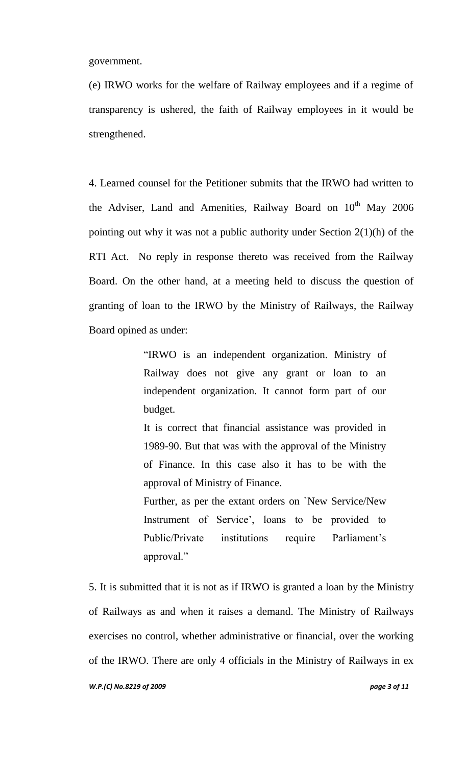government.

(e) IRWO works for the welfare of Railway employees and if a regime of transparency is ushered, the faith of Railway employees in it would be strengthened.

4. Learned counsel for the Petitioner submits that the IRWO had written to the Adviser, Land and Amenities, Railway Board on  $10^{th}$  May 2006 pointing out why it was not a public authority under Section 2(1)(h) of the RTI Act. No reply in response thereto was received from the Railway Board. On the other hand, at a meeting held to discuss the question of granting of loan to the IRWO by the Ministry of Railways, the Railway Board opined as under:

> "IRWO is an independent organization. Ministry of Railway does not give any grant or loan to an independent organization. It cannot form part of our budget.

> It is correct that financial assistance was provided in 1989-90. But that was with the approval of the Ministry of Finance. In this case also it has to be with the approval of Ministry of Finance.

> Further, as per the extant orders on `New Service/New Instrument of Service", loans to be provided to Public/Private institutions require Parliament's approval."

5. It is submitted that it is not as if IRWO is granted a loan by the Ministry of Railways as and when it raises a demand. The Ministry of Railways exercises no control, whether administrative or financial, over the working of the IRWO. There are only 4 officials in the Ministry of Railways in ex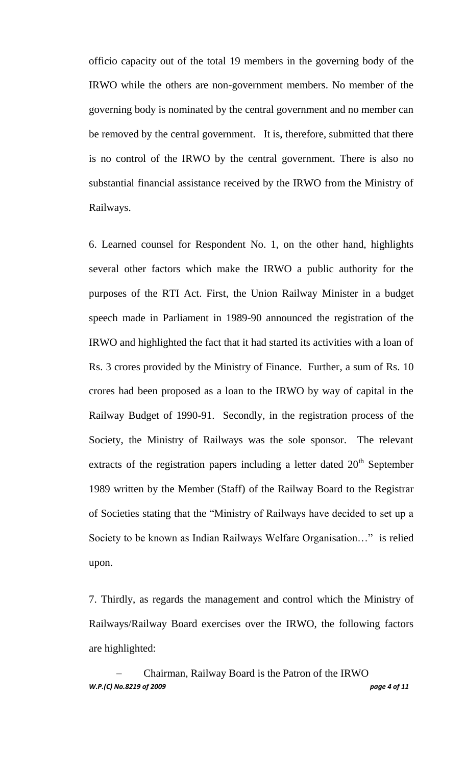officio capacity out of the total 19 members in the governing body of the IRWO while the others are non-government members. No member of the governing body is nominated by the central government and no member can be removed by the central government. It is, therefore, submitted that there is no control of the IRWO by the central government. There is also no substantial financial assistance received by the IRWO from the Ministry of Railways.

6. Learned counsel for Respondent No. 1, on the other hand, highlights several other factors which make the IRWO a public authority for the purposes of the RTI Act. First, the Union Railway Minister in a budget speech made in Parliament in 1989-90 announced the registration of the IRWO and highlighted the fact that it had started its activities with a loan of Rs. 3 crores provided by the Ministry of Finance. Further, a sum of Rs. 10 crores had been proposed as a loan to the IRWO by way of capital in the Railway Budget of 1990-91. Secondly, in the registration process of the Society, the Ministry of Railways was the sole sponsor. The relevant extracts of the registration papers including a letter dated  $20<sup>th</sup>$  September 1989 written by the Member (Staff) of the Railway Board to the Registrar of Societies stating that the "Ministry of Railways have decided to set up a Society to be known as Indian Railways Welfare Organisation…" is relied upon.

7. Thirdly, as regards the management and control which the Ministry of Railways/Railway Board exercises over the IRWO, the following factors are highlighted:

*W.P.(C) No.8219 of 2009 page 4 of 11* Chairman, Railway Board is the Patron of the IRWO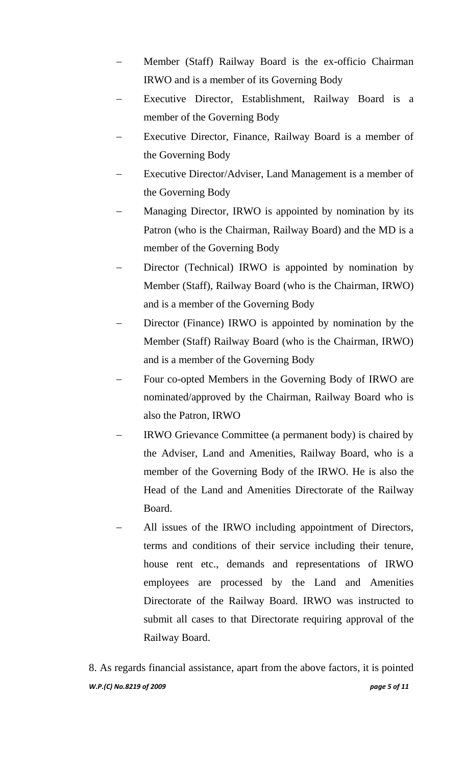- Member (Staff) Railway Board is the ex-officio Chairman IRWO and is a member of its Governing Body
- Executive Director, Establishment, Railway Board is a member of the Governing Body
- Executive Director, Finance, Railway Board is a member of the Governing Body
- Executive Director/Adviser, Land Management is a member of the Governing Body
- Managing Director, IRWO is appointed by nomination by its Patron (who is the Chairman, Railway Board) and the MD is a member of the Governing Body
- Director (Technical) IRWO is appointed by nomination by Member (Staff), Railway Board (who is the Chairman, IRWO) and is a member of the Governing Body
- Director (Finance) IRWO is appointed by nomination by the Member (Staff) Railway Board (who is the Chairman, IRWO) and is a member of the Governing Body
- Four co-opted Members in the Governing Body of IRWO are nominated/approved by the Chairman, Railway Board who is also the Patron, IRWO
- IRWO Grievance Committee (a permanent body) is chaired by the Adviser, Land and Amenities, Railway Board, who is a member of the Governing Body of the IRWO. He is also the Head of the Land and Amenities Directorate of the Railway Board.
- All issues of the IRWO including appointment of Directors, terms and conditions of their service including their tenure, house rent etc., demands and representations of IRWO employees are processed by the Land and Amenities Directorate of the Railway Board. IRWO was instructed to submit all cases to that Directorate requiring approval of the Railway Board.

*W.P.(C) No.8219 of 2009 page 5 of 11* 8. As regards financial assistance, apart from the above factors, it is pointed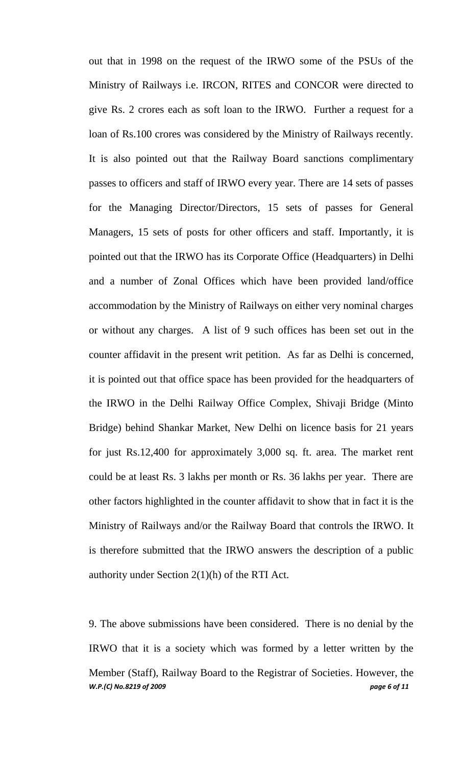out that in 1998 on the request of the IRWO some of the PSUs of the Ministry of Railways i.e. IRCON, RITES and CONCOR were directed to give Rs. 2 crores each as soft loan to the IRWO. Further a request for a loan of Rs.100 crores was considered by the Ministry of Railways recently. It is also pointed out that the Railway Board sanctions complimentary passes to officers and staff of IRWO every year. There are 14 sets of passes for the Managing Director/Directors, 15 sets of passes for General Managers, 15 sets of posts for other officers and staff. Importantly, it is pointed out that the IRWO has its Corporate Office (Headquarters) in Delhi and a number of Zonal Offices which have been provided land/office accommodation by the Ministry of Railways on either very nominal charges or without any charges. A list of 9 such offices has been set out in the counter affidavit in the present writ petition. As far as Delhi is concerned, it is pointed out that office space has been provided for the headquarters of the IRWO in the Delhi Railway Office Complex, Shivaji Bridge (Minto Bridge) behind Shankar Market, New Delhi on licence basis for 21 years for just Rs.12,400 for approximately 3,000 sq. ft. area. The market rent could be at least Rs. 3 lakhs per month or Rs. 36 lakhs per year. There are other factors highlighted in the counter affidavit to show that in fact it is the Ministry of Railways and/or the Railway Board that controls the IRWO. It is therefore submitted that the IRWO answers the description of a public authority under Section 2(1)(h) of the RTI Act.

*W.P.(C) No.8219 of 2009 page 6 of 11* 9. The above submissions have been considered. There is no denial by the IRWO that it is a society which was formed by a letter written by the Member (Staff), Railway Board to the Registrar of Societies. However, the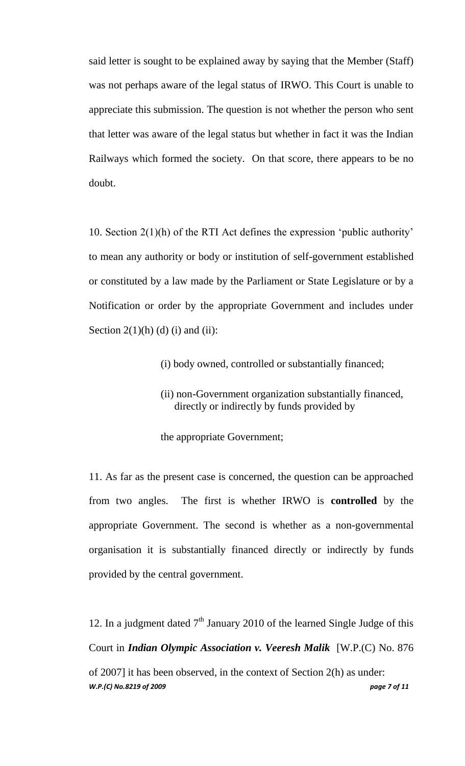said letter is sought to be explained away by saying that the Member (Staff) was not perhaps aware of the legal status of IRWO. This Court is unable to appreciate this submission. The question is not whether the person who sent that letter was aware of the legal status but whether in fact it was the Indian Railways which formed the society. On that score, there appears to be no doubt.

10. Section 2(1)(h) of the RTI Act defines the expression "public authority" to mean any authority or body or institution of self-government established or constituted by a law made by the Parliament or State Legislature or by a Notification or order by the appropriate Government and includes under Section  $2(1)(h)$  (d) (i) and (ii):

(i) body owned, controlled or substantially financed;

(ii) non-Government organization substantially financed, directly or indirectly by funds provided by

the appropriate Government;

11. As far as the present case is concerned, the question can be approached from two angles. The first is whether IRWO is **controlled** by the appropriate Government. The second is whether as a non-governmental organisation it is substantially financed directly or indirectly by funds provided by the central government.

12. In a judgment dated  $7<sup>th</sup>$  January 2010 of the learned Single Judge of this Court in *Indian Olympic Association v. Veeresh Malik* [W.P.(C) No. 876

*W.P.(C) No.8219 of 2009 page 7 of 11* of 2007] it has been observed, in the context of Section 2(h) as under: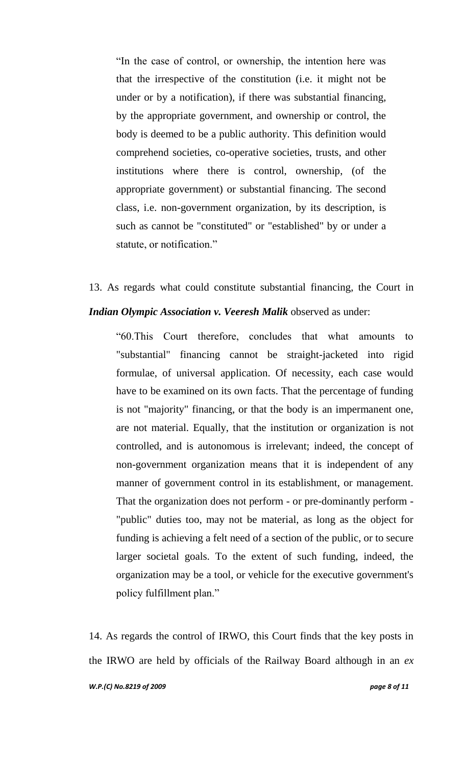"In the case of control, or ownership, the intention here was that the irrespective of the constitution (i.e. it might not be under or by a notification), if there was substantial financing, by the appropriate government, and ownership or control, the body is deemed to be a public authority. This definition would comprehend societies, co-operative societies, trusts, and other institutions where there is control, ownership, (of the appropriate government) or substantial financing. The second class, i.e. non-government organization, by its description, is such as cannot be "constituted" or "established" by or under a statute, or notification."

13. As regards what could constitute substantial financing, the Court in *Indian Olympic Association v. Veeresh Malik* observed as under:

"60.This Court therefore, concludes that what amounts to "substantial" financing cannot be straight-jacketed into rigid formulae, of universal application. Of necessity, each case would have to be examined on its own facts. That the percentage of funding is not "majority" financing, or that the body is an impermanent one, are not material. Equally, that the institution or organization is not controlled, and is autonomous is irrelevant; indeed, the concept of non-government organization means that it is independent of any manner of government control in its establishment, or management. That the organization does not perform - or pre-dominantly perform - "public" duties too, may not be material, as long as the object for funding is achieving a felt need of a section of the public, or to secure larger societal goals. To the extent of such funding, indeed, the organization may be a tool, or vehicle for the executive government's policy fulfillment plan."

*W.P.(C) No.8219 of 2009 page 8 of 11* 14. As regards the control of IRWO, this Court finds that the key posts in the IRWO are held by officials of the Railway Board although in an *ex*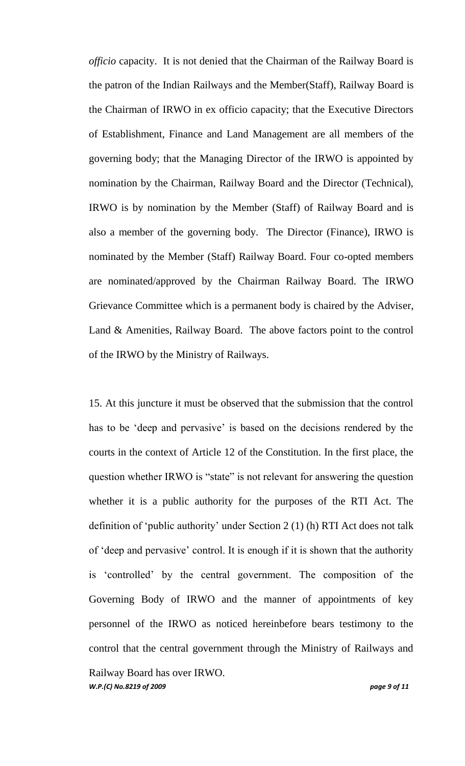*officio* capacity. It is not denied that the Chairman of the Railway Board is the patron of the Indian Railways and the Member(Staff), Railway Board is the Chairman of IRWO in ex officio capacity; that the Executive Directors of Establishment, Finance and Land Management are all members of the governing body; that the Managing Director of the IRWO is appointed by nomination by the Chairman, Railway Board and the Director (Technical), IRWO is by nomination by the Member (Staff) of Railway Board and is also a member of the governing body. The Director (Finance), IRWO is nominated by the Member (Staff) Railway Board. Four co-opted members are nominated/approved by the Chairman Railway Board. The IRWO Grievance Committee which is a permanent body is chaired by the Adviser, Land & Amenities, Railway Board. The above factors point to the control of the IRWO by the Ministry of Railways.

15. At this juncture it must be observed that the submission that the control has to be 'deep and pervasive' is based on the decisions rendered by the courts in the context of Article 12 of the Constitution. In the first place, the question whether IRWO is "state" is not relevant for answering the question whether it is a public authority for the purposes of the RTI Act. The definition of "public authority" under Section 2 (1) (h) RTI Act does not talk of "deep and pervasive" control. It is enough if it is shown that the authority is "controlled" by the central government. The composition of the Governing Body of IRWO and the manner of appointments of key personnel of the IRWO as noticed hereinbefore bears testimony to the control that the central government through the Ministry of Railways and Railway Board has over IRWO.

*W.P.(C) No.8219 of 2009 page 9 of 11*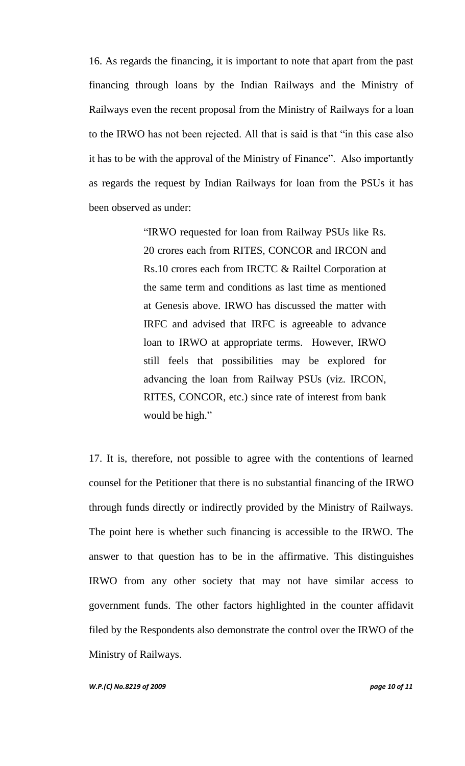16. As regards the financing, it is important to note that apart from the past financing through loans by the Indian Railways and the Ministry of Railways even the recent proposal from the Ministry of Railways for a loan to the IRWO has not been rejected. All that is said is that "in this case also it has to be with the approval of the Ministry of Finance". Also importantly as regards the request by Indian Railways for loan from the PSUs it has been observed as under:

> "IRWO requested for loan from Railway PSUs like Rs. 20 crores each from RITES, CONCOR and IRCON and Rs.10 crores each from IRCTC & Railtel Corporation at the same term and conditions as last time as mentioned at Genesis above. IRWO has discussed the matter with IRFC and advised that IRFC is agreeable to advance loan to IRWO at appropriate terms. However, IRWO still feels that possibilities may be explored for advancing the loan from Railway PSUs (viz. IRCON, RITES, CONCOR, etc.) since rate of interest from bank would be high."

17. It is, therefore, not possible to agree with the contentions of learned counsel for the Petitioner that there is no substantial financing of the IRWO through funds directly or indirectly provided by the Ministry of Railways. The point here is whether such financing is accessible to the IRWO. The answer to that question has to be in the affirmative. This distinguishes IRWO from any other society that may not have similar access to government funds. The other factors highlighted in the counter affidavit filed by the Respondents also demonstrate the control over the IRWO of the Ministry of Railways.

*W.P.(C) No.8219 of 2009 page 10 of 11*